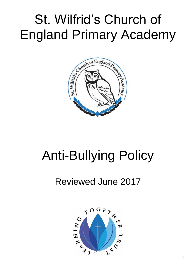## St. Wilfrid's Church of England Primary Academy



# Anti-Bullying Policy

### Reviewed June 2017

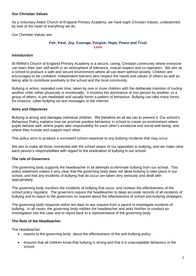#### **Our Christian Values**

As a Voluntary Aided Church of England Primary Academy, we have eight Christian Values, underpinned by love at the heart of everything we do.

Our Christian Values are:

#### **Fair, Kind, Joy, Courage, Forgive, Hope, Peace and Trust Love**

#### **Introduction**

St Wilfrid's Church of England Primary Academy is a secure, caring, Christian community where everyone can learn their own self-worth in an atmosphere of tolerance, mutual respect and co-operation. We aim as a school to produce a safe and secure environment where all can learn without anxiety. Children are encouraged to be confident, independent learners who respect the needs and values of others as well as being able to contribute positively to the school and the local community.

Bullying is action, repeated over time, taken by one or more children with the deliberate intention of hurting another child, either physically or emotionally. It involves the dominance of one person by another, or a group of others, is pre-meditated and usually forms a pattern of behaviour. Bullying can take many forms, for instance, cyber-bullying via text messages or the internet.

#### **Aims and Objectives**

Bullying is wrong and damages individual children. We therefore do all we can to prevent it. Our school's Behaviour Policy explains how we promote positive behaviour in school to create an environment where pupils behave well; where pupils take responsibility for each other's emotional and social well-being; and where they include and support each other.

This policy aims to produce a consistent school response to any bullying incidents that may occur.

We aim to make all those connected with the school aware of our opposition to bullying, and we make clear each person's responsibilities with regard to the eradication of bullying in our school.

#### **The role of Governors**

The governing body supports the headteacher in all attempts to eliminate bullying from our school. This policy statement makes it very clear that the governing body does not allow bullying to take place in our school, and that any incidents of bullying that do occur are taken very seriously and dealt with appropriately.

The governing body monitors the incidents of bullying that occur, and reviews the effectiveness of the school policy regularly. The governors require the headteacher to deep accurate records of all incidents of bullying and to report to the governors on request about the effectiveness of school anti-bullying strategies.

The governing body responds within ten days to any request from a parent to investigate incidents of bullying. In all cases, the governing body notifies the headteacher and asks him/her to conduct an investigation into the case and to report back to a representative of the governing body.

#### **The Role of the Headteacher**

The Headteacher:

- reports to the governing body about the effectiveness of the anti-bullying policy.
- ensures that all children know that bullying is wrong and that it is unacceptable behaviour in the school.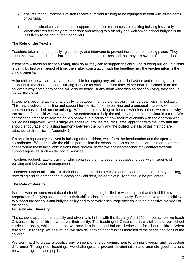- ensures that all members of staff receive sufficient training to be equipped to deal with all incidents of bullying.
- sets the school climate of mutual support and praise for success so making bullying less likely. When children feel they are important and belong to a friendly and welcoming school bullying is far less likely to be part of their behaviour.

#### **The Role of the Teacher**

Teachers take all forms of bullying seriously, and intervene to prevent incidents from taking place. They keep their own records of all incidents that happen in their class and that they are aware of in the school.

If teachers witness an act of bullying, they do all they can to support the child who is being bullied. If a child is being bullied over period of time, then, after consultation with the headteacher, the teacher informs the child's parents.

At lunchtime the welfare staff are responsible for logging any anti-social behaviour and reporting these incidents to the class teacher. Bullying that occurs outside lesson time, either near the school or on the children's way home or to school will also be noted. If any adult witnesses an act of bullying, they should record the event.

If, teachers become aware of any bullying between members of a class, it will be dealt with immediately. This may involve counselling and support for the victim of the bullying and a personal interview with the child who has carried out the bullying. We spend time talking to the child who has bullied, we explain why the action of the child was wrong, and we endeavour to help the child change their behaviour in future. We set meeting times to review the child's behaviour, discussing how their relationship with the one who was bullied has improved. At this stage we endeavour to use the 'No Blame' approach with the view that this should encourage long lasting harmony between the bully and the bullied. Details of this method are attached to this policy in Appendix 1.

If a child is repeatedly involved in bullying other children, we inform the headteacher and the special needs co-ordinator. We then invite the child's parents into the school to discuss the situation. In more extreme cases where these initial discussions have proven ineffective, the headteacher may contact external support agencies such as the social services.

Teachers routinely attend training, which enables them to become equipped to deal with incidents of bullying and behaviour management.

Teachers support all children in their class and establish a climate of trust and respect for all. By praising, rewarding and celebrating the success of all children, incidents of bullying should be prevented.

#### **The Role of Parents**

Parents who are concerned that their child might be being bullied or who suspect that their child may be the perpetrator of bullying should contact their child's class teacher immediately. Parents have a responsibility to support the school's anti-bullying policy and to actively encourage their child to be a positive member of the school.

#### **Equality and Diversity**

The school's approach to equality and diversity is in line with the Equality Act 2010. In our school we teach Citizenship to all children, whatever their ability. The teaching of Citizenship is a vital part of our school curriculum policy, which states that we provide a broad and balanced education for all our children. When teaching Citizenship, we ensure that we provide learning opportunities matched to the needs and ages of the children.

We work hard to create a positive environment of shared commitment to valuing diversity and respecting difference. Through our teachings, we challenge and prevent discrimination and promote good relations between all groups and pupils.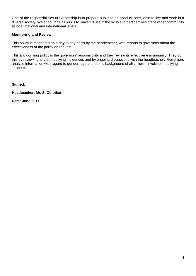One of the responsibilities of Citizenship is to prepare pupils to be good citizens, able to live and work in a diverse society. We encourage all pupils to make full use of the skills and perspectives of the wider community at local, national and international levels.

#### **Monitoring and Review**

This policy is monitored on a day to day basis by the headteacher, who reports to governors about the effectiveness of the policy on request.

This anti-bullying policy is the governors' responsibility and they review its effectiveness annually. They do this by reviewing any anti-bullying incidences and by ongoing discussions with the headteacher. Governors analyse information with regard to gender, age and ethnic background of all children involved in bullying incidents.

**Signed:**

**Headteacher: Mr. S. Colothan**

**Date: June 2017**